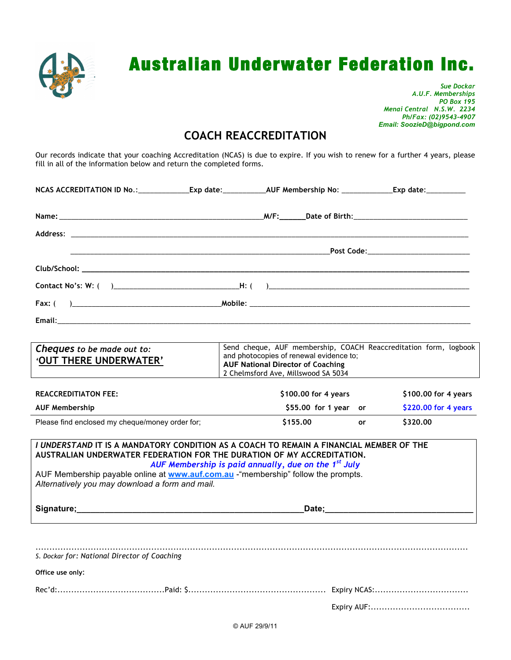

# Australian Underwater Federation Inc.

*Sue Dockar A.U.F. Memberships PO Box 195 Menai Central N.S.W. 2234 Ph/Fax: (02)9543-4907 Email: SoozieD@bigpond.com*

## **COACH REACCREDITATION**

Our records indicate that your coaching Accreditation (NCAS) is due to expire. If you wish to renew for a further 4 years, please fill in all of the information below and return the completed forms.

|  | NCAS ACCREDITATION ID No.:_______________Exp date:_______________AUF Membership No: _______________Exp date:__________ |  |  |  |  |
|--|------------------------------------------------------------------------------------------------------------------------|--|--|--|--|
|  |                                                                                                                        |  |  |  |  |
|  |                                                                                                                        |  |  |  |  |
|  |                                                                                                                        |  |  |  |  |
|  |                                                                                                                        |  |  |  |  |
|  |                                                                                                                        |  |  |  |  |
|  |                                                                                                                        |  |  |  |  |
|  |                                                                                                                        |  |  |  |  |
|  |                                                                                                                        |  |  |  |  |

| Cheques to be made out to:<br><b>'OUT THERE UNDERWATER'</b> | Send cheque, AUF membership, COACH Reaccreditation form, logbook<br>and photocopies of renewal evidence to;<br><b>AUF National Director of Coaching</b><br>2 Chelmsford Ave, Millswood SA 5034 |                      |
|-------------------------------------------------------------|------------------------------------------------------------------------------------------------------------------------------------------------------------------------------------------------|----------------------|
| <b>REACCREDITIATON FEE:</b>                                 | \$100,00 for 4 years                                                                                                                                                                           | \$100,00 for 4 years |
| <b>AUF Membership</b>                                       | $$55.00$ for 1 year or                                                                                                                                                                         | \$220,00 for 4 years |

Please find enclosed my cheque/money order for; **\$155.00 or \$320.00**

### *I UNDERSTAND* **IT IS A MANDATORY CONDITION AS A COACH TO REMAIN A FINANCIAL MEMBER OF THE AUSTRALIAN UNDERWATER FEDERATION FOR THE DURATION OF MY ACCREDITATION.**

*AUF Membership is paid annually, due on the 1st July*

AUF Membership payable online at **www.auf.com.au** -"membership" follow the prompts. *Alternatively you may download a form and mail.*

**Signature;\_\_\_\_\_\_\_\_\_\_\_\_\_\_\_\_\_\_\_\_\_\_\_\_\_\_\_\_\_\_\_\_\_\_\_\_\_\_\_\_\_\_\_\_\_\_\_\_\_Date;\_\_\_\_\_\_\_\_\_\_\_\_\_\_\_\_\_\_\_\_\_\_\_\_\_\_\_\_\_\_\_\_**

| S. Dockar for: National Director of Coaching |  |
|----------------------------------------------|--|
| Office use only:                             |  |
|                                              |  |
|                                              |  |